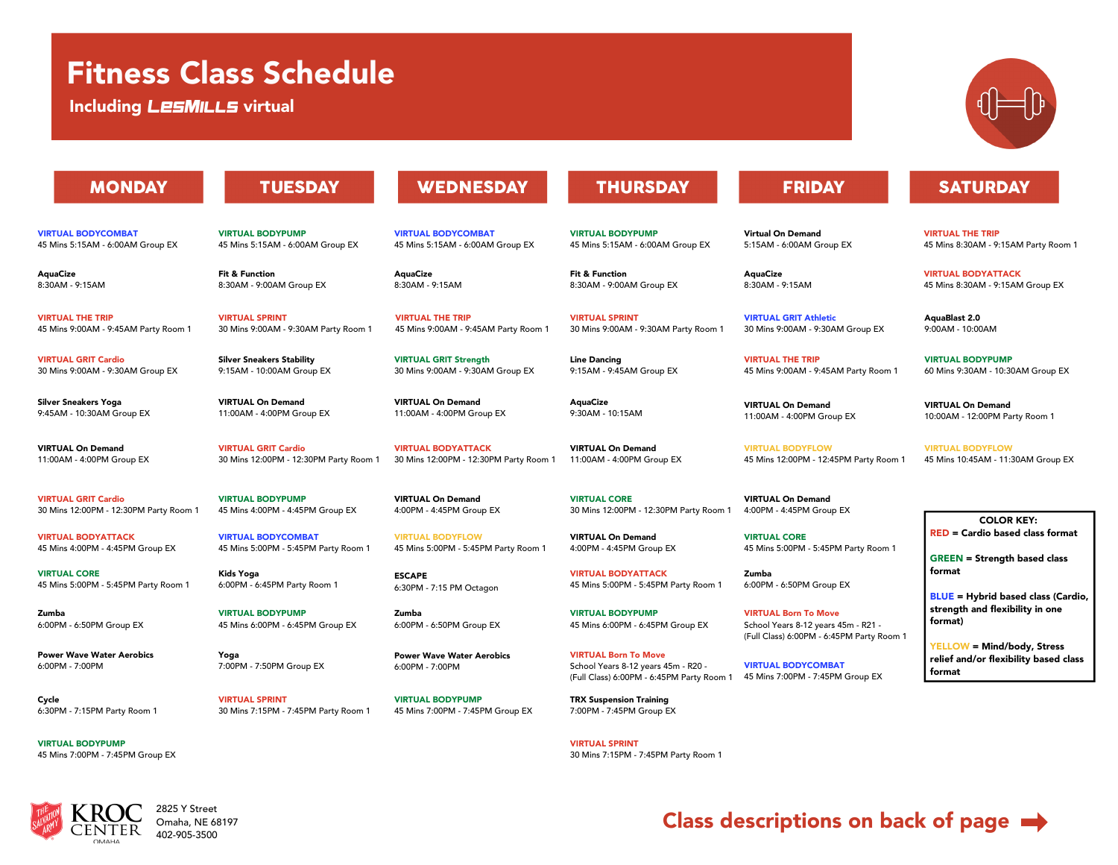# Fitness Class Schedule

Including LESMILLS virtual

# **MONDAY**

VIRTUAL BODYCOMBAT 45 Mins 5:15AM - 6:00AM Group EX

**AquaCize** 8:30AM -9:15AM

VIRTUAL THE TRIP 45 Mins 9:00AM -9:45AM Party Room 1

VIRTUAL GRIT Cardio 30 Mins 9:00AM -9:30AM Group EX

Silver Sneakers Yoga 9:45AM -10:30AM Group EX

VIRTUAL On Demand 11:00AM -4:00PM Group EX

VIRTUAL GRIT Cardio 30 Mins 12:00PM -12:30PM Party Room 1

VIRTUAL BODYATTACK 45 Mins 4:00PM -4:45PM Group EX

VIRTUAL CORE 45 Mins 5:00PM -5:45PM Party Room 1

Zumba 6:00PM -6:50PM Group EX

Power Wave Water Aerobics 6:00PM -7:00PM

Cycle 6:30PM -7:15PM Party Room 1

VIRTUAL BODYPUMP 45 Mins 7:00PM -7:45PM Group EX



### 2825 Y Street Omaha, NE 68197 402-905-3500

# **TUESDAY**

VIRTUAL BODYPUMP 45 Mins 5:15AM - 6:00AM Group EX

Fit & Function 8:30AM -9:00AM Group EX

VIRTUAL SPRINT 30 Mins 9:00AM -9:30AM Party Room 1

Silver Sneakers Stability 9:15AM -10:00AM Group EX

VIRTUAL On Demand 11:00AM -4:00PM Group EX

VIRTUAL GRIT Cardio 30 Mins 12:00PM -12:30PM Party Room 1

VIRTUAL BODYPUMP 45 Mins 4:00PM -4:45PM Group EX

VIRTUAL BODYCOMBAT 45 Mins 5:00PM -5:45PM Party Room 1

Kids Yoga 6:00PM -6:45PM Party Room 1

VIRTUAL BODYPUMP 45 Mins 6:00PM - 6:45PM Group EX

Yoga 7:00PM -7:50PM Group EX

VIRTUAL SPRINT 30 Mins 7:15PM -7:45PM Party Room 1 **WEDNESDAY** 

VIRTUAL BODYCOMBAT 45 Mins 5:15AM - 6:00AM Group EX

**AquaCize** 8:30AM - 9:15AM

VIRTUAL THE TRIP 45 Mins 9:00AM -9:45AM Party Room 1

VIRTUAL GRIT Strength 30 Mins 9:00AM -9:30AM Group EX

VIRTUAL On Demand 11:00AM -4:00PM Group EX

VIRTUAL BODYATTACK 30 Mins 12:00PM -12:30PM Party Room 1

VIRTUAL On Demand 4:00PM -4:45PM Group EX

VIRTUAL BODYFLOW 45 Mins 5:00PM -5:45PM Party Room 1

**ESCAPE** 6:30PM -7:15 PM Octagon

Zumba 6:00PM -6:50PM Group EX

Power Wave Water Aerobics 6:00PM -7:00PM

VIRTUAL BODYPUMP 45 Mins 7:00PM -7:45PM Group EX **THURSDAY** 

VIRTUAL BODYPUMP 45 Mins 5:15AM - 6:00AM Group EX

Fit & Function 8:30AM -9:00AM Group EX

VIRTUAL SPRINT 30 Mins 9:00AM -9:30AM Party Room 1

Line Dancing 9:15AM -9:45AM Group EX

**AquaCize** 9:30AM -10:15AM

VIRTUAL On Demand 11:00AM -4:00PM Group EX

VIRTUAL CORE 30 Mins 12:00PM -12:30PM Party Room 1

VIRTUAL On Demand 4:00PM -4:45PM Group EX

VIRTUAL BODYATTACK 45 Mins 5:00PM -5:45PM Party Room 1

VIRTUAL BODYPUMP 45 Mins 6:00PM - 6:45PM Group EX

VIRTUAL Born To Move School Years 8-12 years 45m - R20 -(Full Class) 6:00PM - 6:45PM Party Room 1

TRX Suspension Training 7:00PM -7:45PM Group EX

VIRTUAL SPRINT 30 Mins 7:15PM -7:45PM Party Room 1

# **FRIDAY**

Virtual On Demand 5:15AM -6:00AM Group EX

**AquaCize** 8:30AM -9:15AM

VIRTUAL GRIT Athletic 30 Mins 9:00AM -9:30AM Group EX

VIRTUAL THE TRIP 45 Mins 9:00AM -9:45AM Party Room 1

VIRTUAL On Demand 11:00AM -4:00PM Group EX

VIRTUAL BODYFLOW 45 Mins 12:00PM -12:45PM Party Room 1

VIRTUAL On Demand 4:00PM -4:45PM Group EX

VIRTUAL CORE 45 Mins 5:00PM -5:45PM Party Room 1

Zumba 6:00PM -6:50PM Group EX

VIRTUAL Born To Move School Years 8-12 years 45m - R21 -(Full Class) 6:00PM - 6:45PM Party Room 1

VIRTUAL BODYCOMBAT 45 Mins 7:00PM -7:45PM Group EX **SATURDAY** 

VIRTUAL THE TRIP 45 Mins 8:30AM -9:15AM Party Room 1

VIRTUAL BODYATTACK 45 Mins 8:30AM -9:15AM Group EX

AquaBlast 2.0 9:00AM -10:00AM

VIRTUAL BODYPUMP 60 Mins 9:30AM -10:30AM Group EX

VIRTUAL On Demand 10:00AM -12:00PM Party Room 1

VIRTUAL BODYFLOW 45 Mins 10:45AM -11:30AM Group EX

COLOR KEY: RED = Cardio based class format

GREEN = Strength based class format

BLUE = Hybrid based class (Cardio, strength and flexibility in one format)

YELLOW = Mind/body, Stress relief and/or flexibility based class format

Class descriptions on back of page  $\rightarrow$